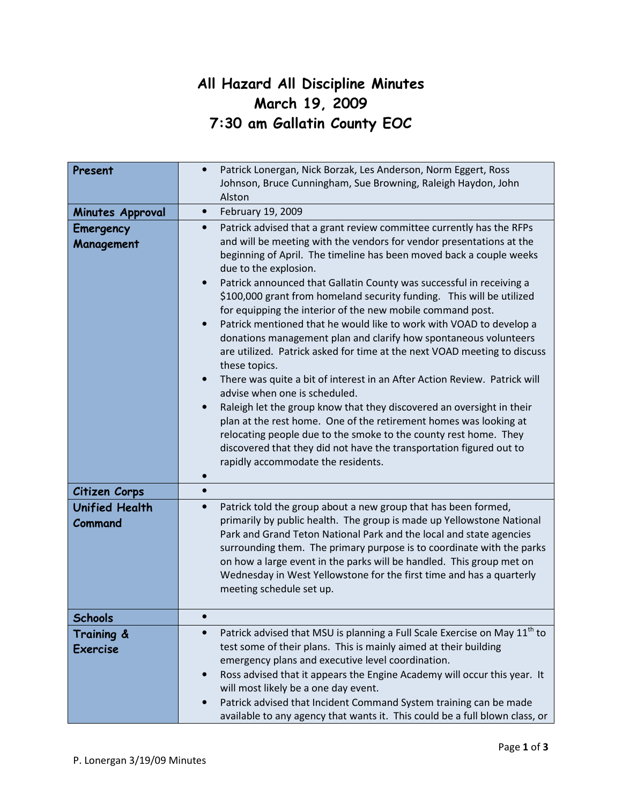# All Hazard All Discipline Minutes March 19, 2009 7:30 am Gallatin County EOC

| Present                          | Patrick Lonergan, Nick Borzak, Les Anderson, Norm Eggert, Ross<br>Johnson, Bruce Cunningham, Sue Browning, Raleigh Haydon, John                                                                                                                                                                                                                                                                                                                                                                                                                                                                                                                                                                                                                                                                                                                                                                                                                                                                                                                                                                    |
|----------------------------------|----------------------------------------------------------------------------------------------------------------------------------------------------------------------------------------------------------------------------------------------------------------------------------------------------------------------------------------------------------------------------------------------------------------------------------------------------------------------------------------------------------------------------------------------------------------------------------------------------------------------------------------------------------------------------------------------------------------------------------------------------------------------------------------------------------------------------------------------------------------------------------------------------------------------------------------------------------------------------------------------------------------------------------------------------------------------------------------------------|
|                                  | Alston                                                                                                                                                                                                                                                                                                                                                                                                                                                                                                                                                                                                                                                                                                                                                                                                                                                                                                                                                                                                                                                                                             |
| Minutes Approval                 | February 19, 2009<br>$\bullet$                                                                                                                                                                                                                                                                                                                                                                                                                                                                                                                                                                                                                                                                                                                                                                                                                                                                                                                                                                                                                                                                     |
| Emergency                        | Patrick advised that a grant review committee currently has the RFPs<br>$\bullet$                                                                                                                                                                                                                                                                                                                                                                                                                                                                                                                                                                                                                                                                                                                                                                                                                                                                                                                                                                                                                  |
| Management                       | and will be meeting with the vendors for vendor presentations at the<br>beginning of April. The timeline has been moved back a couple weeks<br>due to the explosion.<br>Patrick announced that Gallatin County was successful in receiving a<br>\$100,000 grant from homeland security funding. This will be utilized<br>for equipping the interior of the new mobile command post.<br>Patrick mentioned that he would like to work with VOAD to develop a<br>$\bullet$<br>donations management plan and clarify how spontaneous volunteers<br>are utilized. Patrick asked for time at the next VOAD meeting to discuss<br>these topics.<br>There was quite a bit of interest in an After Action Review. Patrick will<br>$\bullet$<br>advise when one is scheduled.<br>Raleigh let the group know that they discovered an oversight in their<br>plan at the rest home. One of the retirement homes was looking at<br>relocating people due to the smoke to the county rest home. They<br>discovered that they did not have the transportation figured out to<br>rapidly accommodate the residents. |
| Citizen Corps                    | $\bullet$                                                                                                                                                                                                                                                                                                                                                                                                                                                                                                                                                                                                                                                                                                                                                                                                                                                                                                                                                                                                                                                                                          |
| <b>Unified Health</b><br>Command | Patrick told the group about a new group that has been formed,<br>$\bullet$<br>primarily by public health. The group is made up Yellowstone National<br>Park and Grand Teton National Park and the local and state agencies<br>surrounding them. The primary purpose is to coordinate with the parks<br>on how a large event in the parks will be handled. This group met on<br>Wednesday in West Yellowstone for the first time and has a quarterly<br>meeting schedule set up.                                                                                                                                                                                                                                                                                                                                                                                                                                                                                                                                                                                                                   |
| <b>Schools</b>                   |                                                                                                                                                                                                                                                                                                                                                                                                                                                                                                                                                                                                                                                                                                                                                                                                                                                                                                                                                                                                                                                                                                    |
| Training &<br><b>Exercise</b>    | Patrick advised that MSU is planning a Full Scale Exercise on May 11 <sup>th</sup> to<br>$\bullet$<br>test some of their plans. This is mainly aimed at their building<br>emergency plans and executive level coordination.<br>Ross advised that it appears the Engine Academy will occur this year. It<br>$\bullet$<br>will most likely be a one day event.<br>Patrick advised that Incident Command System training can be made<br>available to any agency that wants it. This could be a full blown class, or                                                                                                                                                                                                                                                                                                                                                                                                                                                                                                                                                                                   |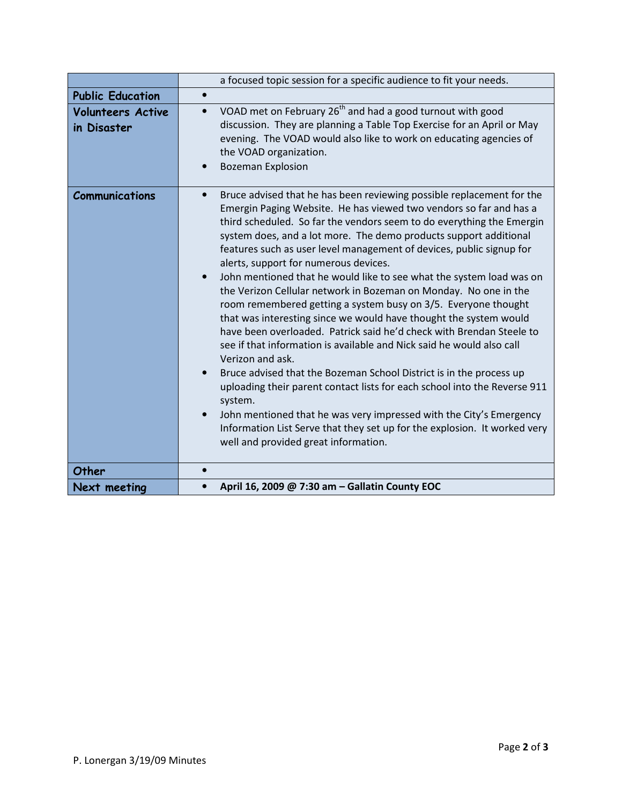|                                         | a focused topic session for a specific audience to fit your needs.                                                                                                                                                                                                                                                                                                                                                                                                                                                                                                                                                                                                                                                                                                                                                                                                                                                                                                                                                                                                                                                                                                                                                                                      |
|-----------------------------------------|---------------------------------------------------------------------------------------------------------------------------------------------------------------------------------------------------------------------------------------------------------------------------------------------------------------------------------------------------------------------------------------------------------------------------------------------------------------------------------------------------------------------------------------------------------------------------------------------------------------------------------------------------------------------------------------------------------------------------------------------------------------------------------------------------------------------------------------------------------------------------------------------------------------------------------------------------------------------------------------------------------------------------------------------------------------------------------------------------------------------------------------------------------------------------------------------------------------------------------------------------------|
| <b>Public Education</b>                 |                                                                                                                                                                                                                                                                                                                                                                                                                                                                                                                                                                                                                                                                                                                                                                                                                                                                                                                                                                                                                                                                                                                                                                                                                                                         |
| <b>Volunteers Active</b><br>in Disaster | VOAD met on February $26th$ and had a good turnout with good<br>$\bullet$<br>discussion. They are planning a Table Top Exercise for an April or May<br>evening. The VOAD would also like to work on educating agencies of<br>the VOAD organization.<br><b>Bozeman Explosion</b><br>$\bullet$                                                                                                                                                                                                                                                                                                                                                                                                                                                                                                                                                                                                                                                                                                                                                                                                                                                                                                                                                            |
| <b>Communications</b>                   | Bruce advised that he has been reviewing possible replacement for the<br>$\bullet$<br>Emergin Paging Website. He has viewed two vendors so far and has a<br>third scheduled. So far the vendors seem to do everything the Emergin<br>system does, and a lot more. The demo products support additional<br>features such as user level management of devices, public signup for<br>alerts, support for numerous devices.<br>John mentioned that he would like to see what the system load was on<br>the Verizon Cellular network in Bozeman on Monday. No one in the<br>room remembered getting a system busy on 3/5. Everyone thought<br>that was interesting since we would have thought the system would<br>have been overloaded. Patrick said he'd check with Brendan Steele to<br>see if that information is available and Nick said he would also call<br>Verizon and ask.<br>Bruce advised that the Bozeman School District is in the process up<br>uploading their parent contact lists for each school into the Reverse 911<br>system.<br>John mentioned that he was very impressed with the City's Emergency<br>$\bullet$<br>Information List Serve that they set up for the explosion. It worked very<br>well and provided great information. |
| Other                                   | $\bullet$                                                                                                                                                                                                                                                                                                                                                                                                                                                                                                                                                                                                                                                                                                                                                                                                                                                                                                                                                                                                                                                                                                                                                                                                                                               |
| Next meeting                            | April 16, 2009 @ 7:30 am - Gallatin County EOC                                                                                                                                                                                                                                                                                                                                                                                                                                                                                                                                                                                                                                                                                                                                                                                                                                                                                                                                                                                                                                                                                                                                                                                                          |